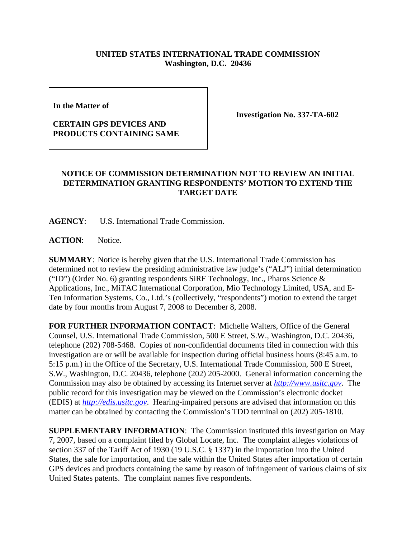## **UNITED STATES INTERNATIONAL TRADE COMMISSION Washington, D.C. 20436**

**In the Matter of** 

## **CERTAIN GPS DEVICES AND PRODUCTS CONTAINING SAME**

**Investigation No. 337-TA-602**

## **NOTICE OF COMMISSION DETERMINATION NOT TO REVIEW AN INITIAL DETERMINATION GRANTING RESPONDENTS' MOTION TO EXTEND THE TARGET DATE**

**AGENCY**: U.S. International Trade Commission.

**ACTION**: Notice.

**SUMMARY**: Notice is hereby given that the U.S. International Trade Commission has determined not to review the presiding administrative law judge's ("ALJ") initial determination ("ID") (Order No. 6) granting respondents SiRF Technology, Inc., Pharos Science & Applications, Inc., MiTAC International Corporation, Mio Technology Limited, USA, and E-Ten Information Systems, Co., Ltd.'s (collectively, "respondents") motion to extend the target date by four months from August 7, 2008 to December 8, 2008.

**FOR FURTHER INFORMATION CONTACT**: Michelle Walters, Office of the General Counsel, U.S. International Trade Commission, 500 E Street, S.W., Washington, D.C. 20436, telephone (202) 708-5468. Copies of non-confidential documents filed in connection with this investigation are or will be available for inspection during official business hours (8:45 a.m. to 5:15 p.m.) in the Office of the Secretary, U.S. International Trade Commission, 500 E Street, S.W., Washington, D.C. 20436, telephone (202) 205-2000. General information concerning the Commission may also be obtained by accessing its Internet server at *http://www.usitc.gov*. The public record for this investigation may be viewed on the Commission's electronic docket (EDIS) at *http://edis.usitc.gov*. Hearing-impaired persons are advised that information on this matter can be obtained by contacting the Commission's TDD terminal on (202) 205-1810.

**SUPPLEMENTARY INFORMATION**: The Commission instituted this investigation on May 7, 2007, based on a complaint filed by Global Locate, Inc. The complaint alleges violations of section 337 of the Tariff Act of 1930 (19 U.S.C. § 1337) in the importation into the United States, the sale for importation, and the sale within the United States after importation of certain GPS devices and products containing the same by reason of infringement of various claims of six United States patents. The complaint names five respondents.